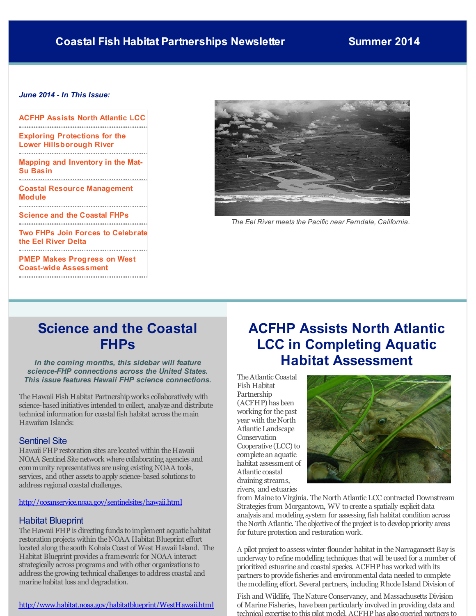## <span id="page-0-0"></span>*June 2014 - In This Issue:*

| ACFHP Assists North Atlantic LCC                                        |
|-------------------------------------------------------------------------|
| <b>Exploring Protections for the</b><br><b>Lower Hillsborough River</b> |
| <b>Mapping and Inventory in the Mat-</b><br>Su Basin                    |
| <b>Coastal Resource Management</b><br>Module                            |
| <b>Science and the Coastal FHPs</b>                                     |
| <b>Two FHPs Join Forces to Celebrate</b><br>the Eel River Delta         |
| <b>PMEP Makes Progress on West</b><br><b>Coast-wide Assessment</b>      |



*The Eel River meets the Pacific near Ferndale, California.*

## **Science and the Coastal FHPs**

#### *In the coming months, this sidebar will feature science-FHP connections across the United States. This issue features Hawaii FHP science connections.*

The Hawaii Fish Habitat Partnershipworks collaboratively with science-based initiatives intended to collect, analyze and distribute technical information for coastal fish habitat across themain Hawaiian Islands:

## Sentinel Site

Hawaii FHP restoration sites are located within the Hawaii NOAA Sentinel Site network where collaborating agencies and community representatives areusing existing NOAA tools, services, and other assets to apply science-based solutions to address regional coastal challenges.

### [http://oceanservice.noaa.gov/sentinelsites/hawaii.html](http://r20.rs6.net/tn.jsp?f=001495v_wac97xiSPCjjhFgObbs-IMm3Ok2d688g5bNGXM3I9JyB6lc5R8Bq8Z3f-FPlpTIjidlcM0edmC27yNeQE3PiJTJWiOZLAx8aw7wq1RjPyXwlUGCe2dxjVWa6CEOGTSqq-xW23Jy4ZGOce5jP8aSPcbTHn76_4ln1Dn1iVv8ClLgXXi9FBMMeTcD5306XOHY61De77FisFiJYnXazg==&c=&ch=)

### Habitat Blueprint

The Hawaii FHP is directing funds to implement aquatic habitat restoration projects within theNOAA Habitat Blueprint effort located along the south Kohala Coast of West Hawaii Island. The Habitat Blueprint provides a framework for NOAA interact strategically across programs and with other organizations to address the growing technical challenges to address coastal and marine habitat loss and degradation.

## [http://www.habitat.noaa.gov/habitatblueprint/WestHawaii.html](http://r20.rs6.net/tn.jsp?f=001495v_wac97xiSPCjjhFgObbs-IMm3Ok2d688g5bNGXM3I9JyB6lc5R8Bq8Z3f-FPaAvfKelXTrkrz1g1Dh4BES5Q1wbFlf_s6np_o-9RZ56dBH3WYPG6JoLzbQqDwKb8kROKjAyTltwt0KtDRYbTnOipMQGrXRJVJcibrqTCruivjjxd1ei-bOAk-wP1znN6myUc2O7JAcd0hfL58FTNTDFENokZzNZw&c=&ch=)

## **ACFHP Assists North Atlantic LCC in Completing Aquatic Habitat Assessment**

The Atlantic Coastal Fish Habitat Partnership (ACFHP) has been working for thepast year with the North Atlantic Landscape Conservation Cooperative  $(LCC)$  to complete an aquatic habitat assessment of Atlantic coastal draining streams, rivers, and estuaries



from Maine to Virginia. The North Atlantic LCC contracted Downstream Strategies from Morgantown, WV to create a spatially explicit data analysis and modeling system for assessing fish habitat condition across the North Atlantic. The objective of the project is to develop priority areas for future protection and restoration work.

A pilot project to assess winter flounder habitat in theNarragansett Bay is underway to refine modelling techniques that will be used for a number of prioritized estuarine and coastal species. ACFHP has worked with its partners to provide fisheries and environmental data needed to complete themodelling effort. Several partners, including Rhode Island Division of

Fish and Wildlife, The Nature Conservancy, and Massachusetts Division of Marine Fisheries, have been particularly involved in providing data and technical expertise to this pilot model. ACFHP has also queried partners to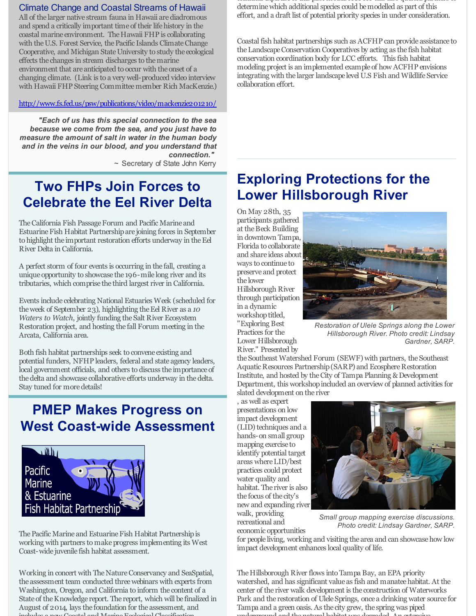## Climate Change and Coastal Streams of Hawaii

All of the larger native stream fauna in Hawaii arediadromous and spend a critically important time of their lifehistory in the coastal marine environment. The Hawaii FHP is collaborating with the U.S. Forest Service, the Pacific Islands Climate Change Cooperative, and Michigan State University to study the ecological effects the changes in stream discharges to themarine environment that are anticipated to occur with the onset of a changing climate. (Link is to a very well-produced video interview with Hawaii FHP Steering Committeemember Rich MacKenzie.)

### [http://www.fs.fed.us/psw/publications/video/mackenzie201210/](http://r20.rs6.net/tn.jsp?f=001495v_wac97xiSPCjjhFgObbs-IMm3Ok2d688g5bNGXM3I9JyB6lc5R8Bq8Z3f-FP5-57X98aWFLELREdPBxgvcV1Ru8uwgnE4jE5iOsFWgVSwsIOpHHIvO_nsfU_NbqNhyN0uH8Uwccs23to1qo17_h8Zc1hNEmV8MuKBHPS3fCOG9yZLkeJY0MkG_et-cdleFYI7qJP_kWq-RN89u1Zgnf-hkxzAonX&c=&ch=)

*"Each of us has this special connection to the sea because we come from the sea, and you just have to measure the amount of salt in water in the human body and in the veins in our blood, and you understand that connection."*

~ Secretary of State John Kerry

## **Two FHPs Join Forces to Celebrate the Eel River Delta**

The California Fish Passage Forum and Pacific Marine and Estuarine Fish Habitat Partnership are joining forces in September to highlight the important restoration efforts underway in the Eel River Delta in California.

A perfect storm of four events is occurring in the fall, creating a unique opportunity to showcase the 196-mile long river and its tributaries, which comprise the third largest river in California.

Events include celebrating National Estuaries Week (scheduled for the week of September 23), highlighting the Eel River as a 10 *Waters to Watch*, jointly funding the Salt River Ecosystem Restoration project, and hosting the fall Forum meeting in the Arcata, California area.

Both fish habitat partnerships seek to convene existing and potential funders, NFHP leaders, federal and state agency leaders, local government officials, and others to discuss the importance of the delta and showcase collaborative efforts underway in the delta. Stay tuned for moredetails!

# **PMEP Makes Progress on West Coast-wide Assessment**



The Pacific Marine and Estuarine Fish Habitat Partnership is working with partners to makeprogress implementing its West Coast-wide juvenile fish habitat assessment.

Working in concert with The Nature Conservancy and SeaSpatial, the assessment team conducted threewebinars with experts from Washington, Oregon, and California to inform the content of a State of the Knowledge report. The report, which will be finalized in August of 2014, lays the foundation for the assessment, and  $i$ es des antiquides and  $\alpha$ 

technical expertise to this pilot model. ACFHP has also queried partners to determinewhich additional species could bemodelled as part of this effort, and a draft list of potential priority species in under consideration.

Coastal fish habitat partnerships such as ACFHP can provide assistance to theLandscapeConservation Cooperatives by acting as the fish habitat conservation coordination body for LCC efforts. This fish habitat modeling project is an implemented example of how ACFHP envisions integrating with the larger landscape level U.S Fish and Wildlife Service collaboration effort.

# **Exploring Protections for the Lower Hillsborough River**

On May 28th, 35 participants gathered at the Beck Building in downtown Tampa, Florida to collaborate and share ideas about ways to continue to preserve and protect the lower Hillsborough River through participation in a dynamic workshop titled, "Exploring Best Practices for the Lower Hillsborough River." Presented by



*Restoration of Ulele Springs along the Lower Hillsborough River. Photo credit: Lindsay Gardner, SARP.*

the Southeast Watershed Forum (SEWF) with partners, the Southeast Aquatic Resources Partnership (SARP) and Ecosphere Restoration Institute, and hosted by the City of Tampa Planning & Development Department, this workshopincluded an overview of planned activities for slated development on the river

, as well as expert presentations on low impact development (LID) techniques and a hands-on small group mapping exercise to identify potential target areas whereLID/best practices could protect water quality and habitat. The river is also the focus of the city's new and expanding river walk, providing recreational and economic opportunities



*Small group mapping exercise discussions. Photo credit: Lindsay Gardner, SARP.*

for people living, working and visiting the area and can showcase how low impact development enhances local quality of life.

The Hillsborough River flows into Tampa Bay, an EPA priority watershed, and has significant value as fish and manateehabitat. At the center of the river walk development is the construction of Waterworks Park and the restoration of UleleSprings, once a drinking water source for Tampa and a green oasis. As the city grew, the spring was piped underground and thenatural habitat was degraded. An extensive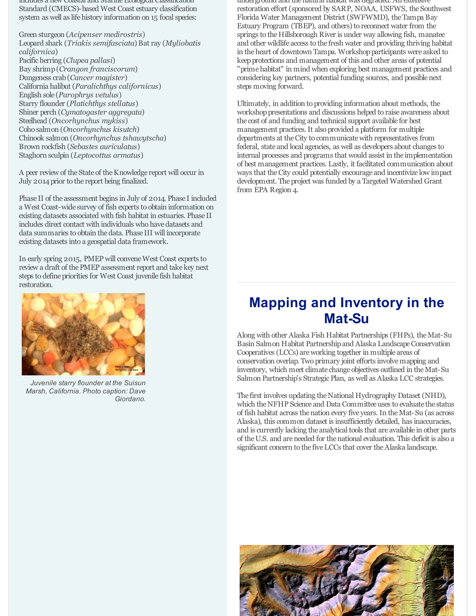includes a new Coastal and Marine Ecological Classification Standard (CMECS)-based West Coast estuary classification system as well as lifehistory information on 15 focal species:

Green sturgeon (*Acipenser medirostris*) Leopard shark (*Triakis semifasciata*) Bat ray (*Myliobatis californica*) Pacific herring (*Clupea pallasi*) Bay shrimp(*Crangon franciscorum*) Dungeness crab(*Cancer magister*) California halibut (*Paralichthys californicus*) English sole (*Parophrys vetulus*) Starry flounder (*Platichthys stellatus*) Shiner perch (*Cymatogaster aggregata*) Steelhead (*Oncorhynchus mykiss*) Coho salmon (*Oncorhynchus kisutch*) Chinook salmon (*Oncorhynchus tshawytscha*) Brown rockfish (*Sebastes auriculatus*) Staghorn sculpin (*Leptocottus armatus*)

A peer review of the State of the Knowledge report will occur in July 2014 prior to the report being finalized.

Phase II of the assessment begins in July of 2014. Phase I included a West Coast-wide survey of fish experts to obtain information on existing datasets associated with fish habitat in estuaries. Phase II includes direct contact with individuals who have datasets and data summaries to obtain thedata. Phase III will incorporate existing datasets into a geospatial data framework.

In early spring 2015, PMEP will conveneWest Coast experts to review a draft of thePMEP assessment report and take key next steps to define priorities for West Coast juvenile fish habitat restoration.



*Juvenile starry flounder at the Suisun Marsh, California. Photo caption: Dave Giordano.*

underground and thenatural habitat was degraded. An extensive restoration effort (sponsored by SARP, NOAA, USFWS, the Southwest Florida Water Management District (SWFWMD), theTampa Bay Estuary Program (TBEP), and others) to reconnect water from the springs to the Hillsborough River is under way allowing fish, manatee and other wildlife access to the fresh water and providing thriving habitat in the heart of downtown Tampa. Workshop participants were asked to keepprotections and management of this and other areas of potential "prime habitat" in mind when exploring best management practices and considering key partners, potential funding sources, and possiblenext steps moving forward.

Ultimately, in addition to providing information about methods, the workshop presentations and discussions helped to raise awareness about the cost of and funding and technical support available for best management practices. It also provided a platform for multiple departments at theCity to communicatewith representatives from federal, state and local agencies, as well as developers about changes to internal processes and programs that would assist in the implementation of best management practices. Lastly, it facilitated communication about ways that theCity could potentially encourage and incentivize low impact development. The project was funded by a Targeted Watershed Grant from EPA Region 4.

# **Mapping and Inventory in the Mat-Su**

Along with other Alaska Fish Habitat Partnerships (FHPs), theMat-Su Basin Salmon Habitat Partnershipand Alaska LandscapeConservation Cooperatives (LCCs) areworking together in multiple areas of conservation overlap. Two primary joint efforts involvemapping and inventory, which meet climate change objectives outlined in theMat-Su Salmon Partnership's Strategic Plan, as well as Alaska LCC strategies.

The first involves updating the National Hydrography Dataset (NHD), which the NFHP Science and Data Committee uses to evaluate the status of fish habitat across thenation every five years. In theMat-Su (as across Alaska), this common dataset is insufficiently detailed, has inaccuracies, and is currently lacking the analytical tools that are available in other parts of theU.S. and areneeded for thenational evaluation. This deficit is also a significant concern to the five LCCs that cover the Alaska landscape.

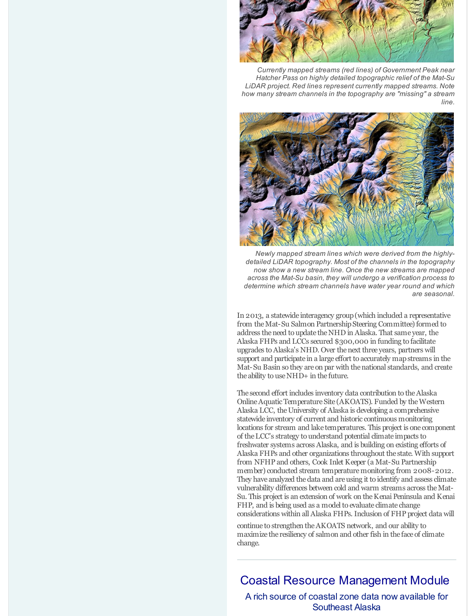

*Currently mapped streams (red lines) of Government Peak near Hatcher Pass on highly detailed topographic relief of the Mat-Su LiDAR project. Red lines represent currently mapped streams. Note how many stream channels in the topography are "missing" a stream line.*



*Newly mapped stream lines which were derived from the highlydetailed LiDAR topography. Most of the channels in the topography now show a new stream line. Once the new streams are mapped across the Mat-Su basin, they will undergo a verification process to determine which stream channels have water year round and which are seasonal.*

In 2013, a statewide interagency group(which included a representative from the Mat-Su Salmon Partnership Steering Committee) formed to address theneed to update theNHD in Alaska. That same year, the Alaska FHPs and LCCs secured \$300,000 in funding to facilitate upgrades toAlaska's NHD. Over thenext three years, partners will support and participate in a large effort to accurately mapstreams in the Mat-Su Basin so they are on par with thenational standards, and create the ability to useNHD+ in the future.

The second effort includes inventory data contribution to theAlaska Online Aquatic Temperature Site (AKOATS). Funded by the Western Alaska LCC, the University of Alaska is developing a comprehensive statewide inventory of current and historic continuous monitoring locations for stream and lake temperatures. This project is one component of theLCC's strategy to understand potential climate impacts to freshwater systems across Alaska, and is building on existing efforts of Alaska FHPs and other organizations throughout the state. With support from NFHP and others, Cook Inlet Keeper (a Mat-Su Partnership member) conducted stream temperaturemonitoring from 2008-2012. They have analyzed the data and are using it to identify and assess climate vulnerability differences between cold and warm streams across theMat-Su. This project is an extension of work on theKenai Peninsula and Kenai FHP, and is being used as a model to evaluate climate change considerations within all Alaska FHPs. Inclusion of FHP project data will

continue to strengthen theAKOATS network, and our ability to maximize the resiliency of salmon and other fish in the face of climate change.

## Coastal Resource Management Module

A rich source of coastal zone data now available for Southeast Alaska